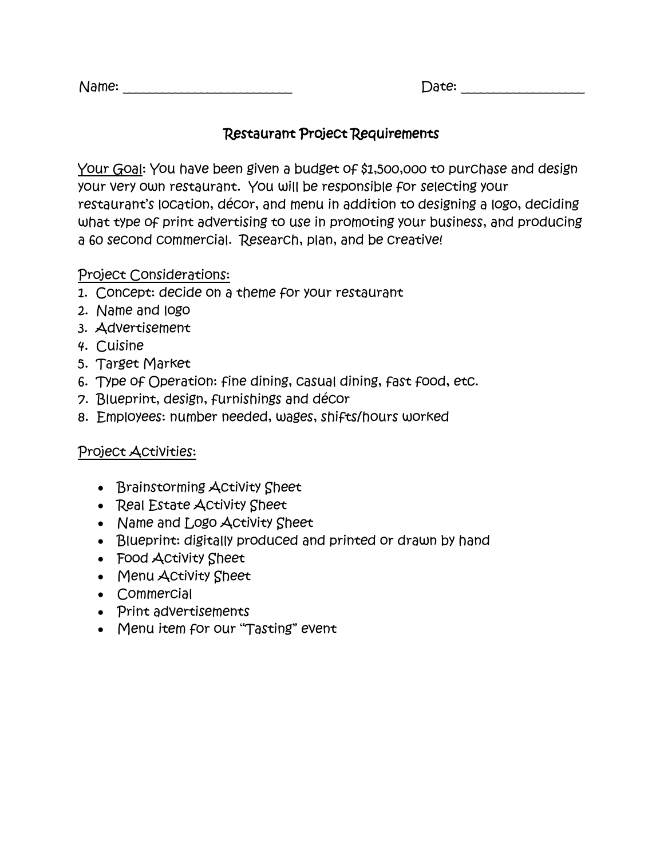| Name: |
|-------|
|-------|

Name: \_\_\_\_\_\_\_\_\_\_\_\_\_\_\_\_\_\_\_\_\_\_\_\_\_\_ Date: \_\_\_\_\_\_\_\_\_\_\_\_\_\_\_\_\_\_\_

## Restaurant Project Requirements

Your Goal: You have been given a budget of \$1,500,000 to purchase and design your very own restaurant. You will be responsible for selecting your restaurant's location, décor, and menu in addition to designing a logo, deciding what type of print advertising to use in promoting your business, and producing a 60 second commercial. Research, plan, and be creative!

### Project Considerations:

- 1. Concept: decide on a theme for your restaurant
- 2. Name and logo
- 3. Advertisement
- 4. Cuisine
- 5. Target Market
- 6. Type of Operation: fine dining, casual dining, fast food, etc.
- 7. Blueprint, design, furnishings and décor
- 8. Employees: number needed, wages, shifts/hours worked

## Project Activities:

- Brainstorming Activity Sheet
- Real Estate Activity Sheet
- Name and Logo Activity Sheet
- Blueprint: digitally produced and printed or drawn by hand
- Food Activity Sheet
- Menu Activity Sheet
- Commercial
- Print advertisements
- Menu item for our "Tasting" event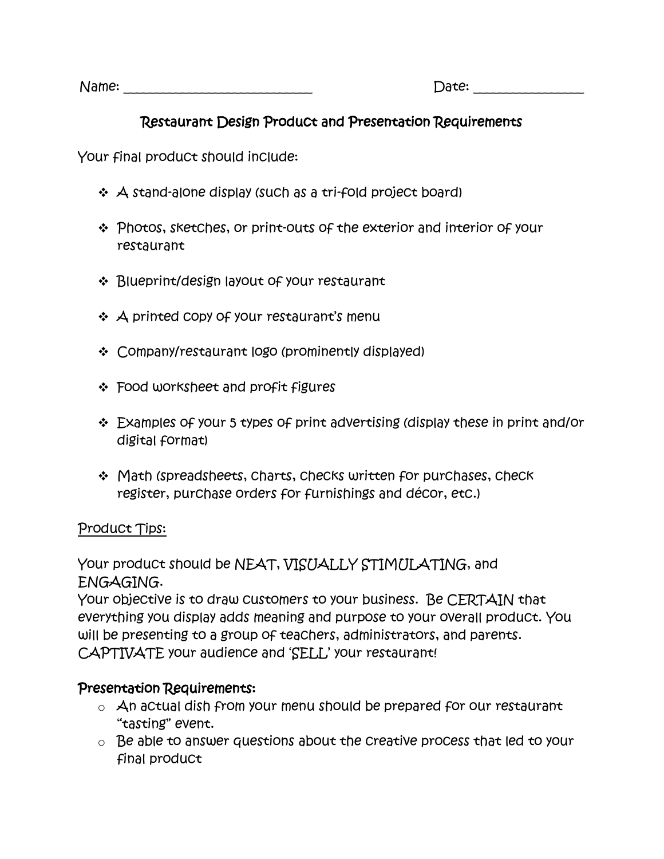Name: \_\_\_\_\_\_\_\_\_\_\_\_\_\_\_\_\_\_\_\_\_\_\_\_\_\_\_\_\_ Date: \_\_\_\_\_\_\_\_\_\_\_\_\_\_\_\_\_

# Restaurant Design Product and Presentation Requirements

Your final product should include:

- $\triangleleft$  A stand-alone display (such as a tri-fold project board)
- Photos, sketches, or print-outs of the exterior and interior of your restaurant
- Blueprint/design layout of your restaurant
- ❖ A printed copy of your restaurant's menu
- Company/restaurant logo (prominently displayed)
- Food worksheet and profit figures
- Examples of your 5 types of print advertising (display these in print and/or digital format)
- ❖ Math (spreadsheets, charts, checks written for purchases, check register, purchase orders for furnishings and décor, etc.)

### Product Tips:

Your product should be NEAT, VISUALLY STIMULATING, and ENGAGING.

Your objective is to draw customers to your business. Be CERTAIN that everything you display adds meaning and purpose to your overall product. You will be presenting to a group of teachers, administrators, and parents. CAPTIVATE your audience and 'SELL' your restaurant!

## Presentation Requirements:

- $\circ$  An actual dish from your menu should be prepared for our restaurant "tasting" event.
- o Be able to answer questions about the creative process that led to your final product